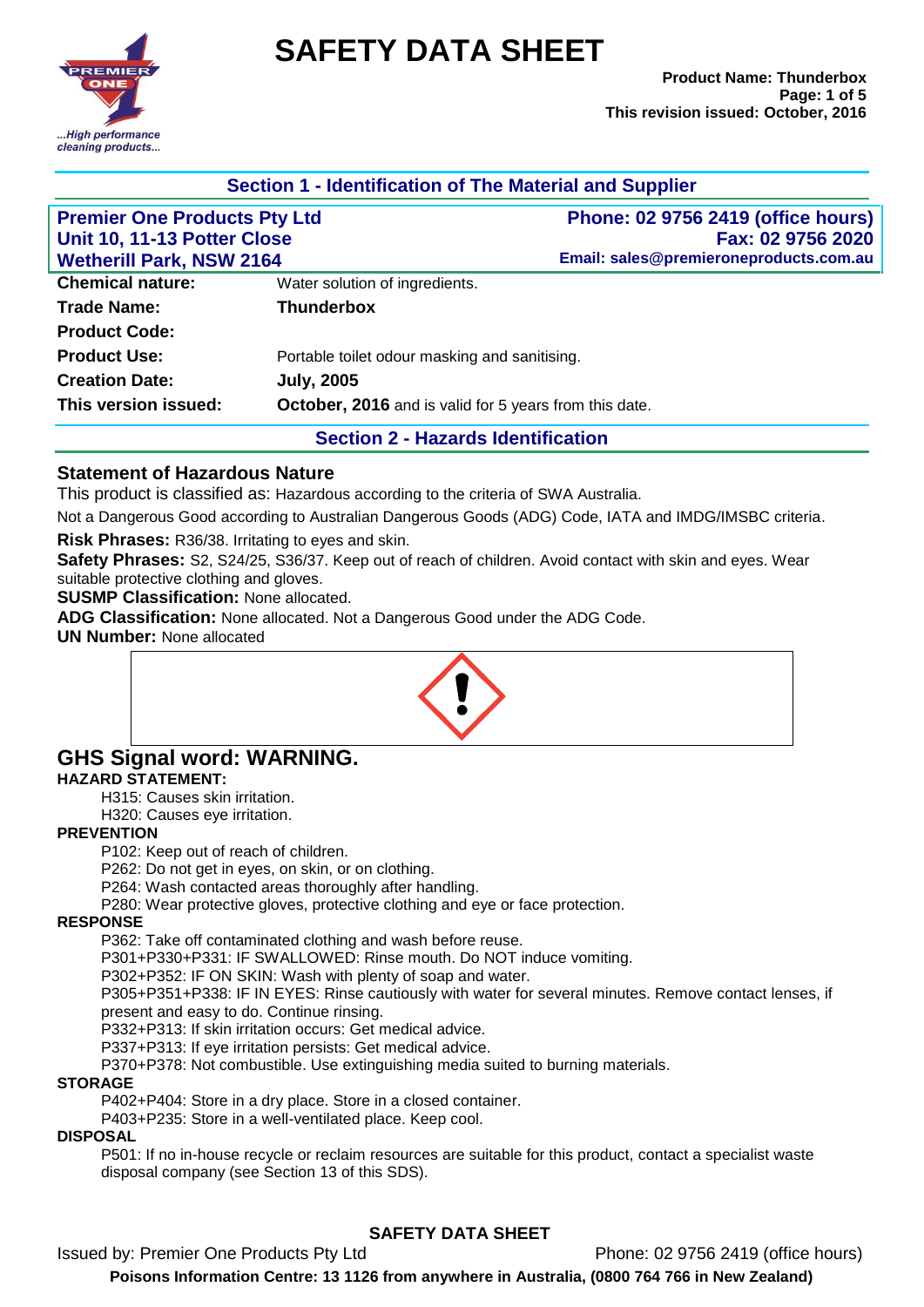

# **SAFETY DATA SHEET**

| Section 1 - Identification of The Material and Supplier            |                                                        |                                                                                                          |  |  |
|--------------------------------------------------------------------|--------------------------------------------------------|----------------------------------------------------------------------------------------------------------|--|--|
| <b>Premier One Products Pty Ltd</b><br>Unit 10, 11-13 Potter Close |                                                        | <b>Phone: 02 9756 2419 (office hours)</b><br>Fax: 02 9756 2020<br>Email: sales@premieroneproducts.com.au |  |  |
| <b>Wetherill Park, NSW 2164</b><br><b>Chemical nature:</b>         | Water solution of ingredients.                         |                                                                                                          |  |  |
| <b>Trade Name:</b>                                                 | <b>Thunderbox</b>                                      |                                                                                                          |  |  |
| <b>Product Code:</b>                                               |                                                        |                                                                                                          |  |  |
| <b>Product Use:</b>                                                | Portable toilet odour masking and sanitising.          |                                                                                                          |  |  |
| <b>Creation Date:</b>                                              | <b>July, 2005</b>                                      |                                                                                                          |  |  |
| This version issued:                                               | October, 2016 and is valid for 5 years from this date. |                                                                                                          |  |  |
|                                                                    |                                                        |                                                                                                          |  |  |

**Section 2 - Hazards Identification**

#### **Statement of Hazardous Nature**

This product is classified as: Hazardous according to the criteria of SWA Australia.

Not a Dangerous Good according to Australian Dangerous Goods (ADG) Code, IATA and IMDG/IMSBC criteria.

**Risk Phrases:** R36/38. Irritating to eyes and skin.

**Safety Phrases:** S2, S24/25, S36/37. Keep out of reach of children. Avoid contact with skin and eyes. Wear suitable protective clothing and gloves.

**SUSMP Classification:** None allocated.

**ADG Classification:** None allocated. Not a Dangerous Good under the ADG Code.

**UN Number:** None allocated



## **GHS Signal word: WARNING.**

#### **HAZARD STATEMENT:**

H315: Causes skin irritation.

H320: Causes eye irritation.

#### **PREVENTION**

P102: Keep out of reach of children.

P262: Do not get in eyes, on skin, or on clothing.

P264: Wash contacted areas thoroughly after handling.

P280: Wear protective gloves, protective clothing and eye or face protection.

#### **RESPONSE**

P362: Take off contaminated clothing and wash before reuse.

P301+P330+P331: IF SWALLOWED: Rinse mouth. Do NOT induce vomiting.

P302+P352: IF ON SKIN: Wash with plenty of soap and water.

P305+P351+P338: IF IN EYES: Rinse cautiously with water for several minutes. Remove contact lenses, if present and easy to do. Continue rinsing.

P332+P313: If skin irritation occurs: Get medical advice.

P337+P313: If eye irritation persists: Get medical advice.

P370+P378: Not combustible. Use extinguishing media suited to burning materials.

#### **STORAGE**

P402+P404: Store in a dry place. Store in a closed container.

P403+P235: Store in a well-ventilated place. Keep cool.

#### **DISPOSAL**

P501: If no in-house recycle or reclaim resources are suitable for this product, contact a specialist waste disposal company (see Section 13 of this SDS).

## **SAFETY DATA SHEET**

Issued by: Premier One Products Pty Ltd Phone: 02 9756 2419 (office hours)

**Poisons Information Centre: 13 1126 from anywhere in Australia, (0800 764 766 in New Zealand)**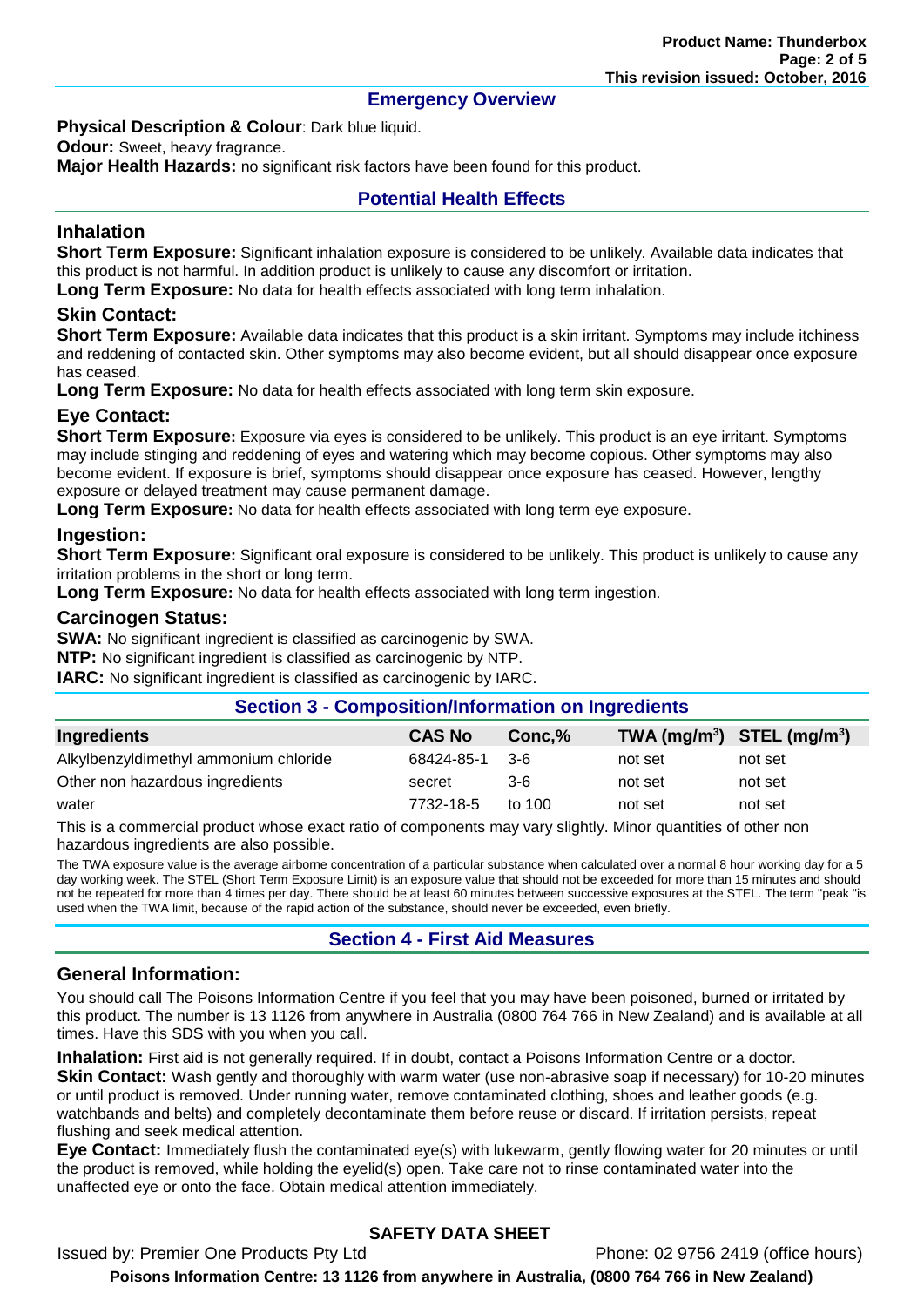#### **Emergency Overview**

#### **Physical Description & Colour: Dark blue liquid.**

**Odour:** Sweet, heavy fragrance.

**Major Health Hazards:** no significant risk factors have been found for this product.

#### **Potential Health Effects**

#### **Inhalation**

**Short Term Exposure:** Significant inhalation exposure is considered to be unlikely. Available data indicates that this product is not harmful. In addition product is unlikely to cause any discomfort or irritation.

**Long Term Exposure:** No data for health effects associated with long term inhalation.

#### **Skin Contact:**

**Short Term Exposure:** Available data indicates that this product is a skin irritant. Symptoms may include itchiness and reddening of contacted skin. Other symptoms may also become evident, but all should disappear once exposure has ceased.

**Long Term Exposure:** No data for health effects associated with long term skin exposure.

#### **Eye Contact:**

**Short Term Exposure:** Exposure via eyes is considered to be unlikely. This product is an eye irritant. Symptoms may include stinging and reddening of eyes and watering which may become copious. Other symptoms may also become evident. If exposure is brief, symptoms should disappear once exposure has ceased. However, lengthy exposure or delayed treatment may cause permanent damage.

**Long Term Exposure:** No data for health effects associated with long term eye exposure.

#### **Ingestion:**

**Short Term Exposure:** Significant oral exposure is considered to be unlikely. This product is unlikely to cause any irritation problems in the short or long term.

**Long Term Exposure:** No data for health effects associated with long term ingestion.

#### **Carcinogen Status:**

**SWA:** No significant ingredient is classified as carcinogenic by SWA.

**NTP:** No significant ingredient is classified as carcinogenic by NTP.

**IARC:** No significant ingredient is classified as carcinogenic by IARC.

| <b>Section 3 - Composition/Information on Ingredients</b> |               |        |                                |         |  |  |
|-----------------------------------------------------------|---------------|--------|--------------------------------|---------|--|--|
| <b>Ingredients</b>                                        | <b>CAS No</b> | Conc.% | TWA $(mg/m^3)$ STEL $(mg/m^3)$ |         |  |  |
| Alkylbenzyldimethyl ammonium chloride                     | 68424-85-1    | - 3-6  | not set                        | not set |  |  |
| Other non hazardous ingredients                           | secret        | $3-6$  | not set                        | not set |  |  |
| water                                                     | 7732-18-5     | to 100 | not set                        | not set |  |  |

This is a commercial product whose exact ratio of components may vary slightly. Minor quantities of other non hazardous ingredients are also possible.

The TWA exposure value is the average airborne concentration of a particular substance when calculated over a normal 8 hour working day for a 5 day working week. The STEL (Short Term Exposure Limit) is an exposure value that should not be exceeded for more than 15 minutes and should not be repeated for more than 4 times per day. There should be at least 60 minutes between successive exposures at the STEL. The term "peak "is used when the TWA limit, because of the rapid action of the substance, should never be exceeded, even briefly.

## **Section 4 - First Aid Measures**

#### **General Information:**

You should call The Poisons Information Centre if you feel that you may have been poisoned, burned or irritated by this product. The number is 13 1126 from anywhere in Australia (0800 764 766 in New Zealand) and is available at all times. Have this SDS with you when you call.

**Inhalation:** First aid is not generally required. If in doubt, contact a Poisons Information Centre or a doctor. **Skin Contact:** Wash gently and thoroughly with warm water (use non-abrasive soap if necessary) for 10-20 minutes or until product is removed. Under running water, remove contaminated clothing, shoes and leather goods (e.g.

watchbands and belts) and completely decontaminate them before reuse or discard. If irritation persists, repeat flushing and seek medical attention.

**Eye Contact:** Immediately flush the contaminated eye(s) with lukewarm, gently flowing water for 20 minutes or until the product is removed, while holding the eyelid(s) open. Take care not to rinse contaminated water into the unaffected eye or onto the face. Obtain medical attention immediately.

## **SAFETY DATA SHEET**

Issued by: Premier One Products Pty Ltd Phone: 02 9756 2419 (office hours) **Poisons Information Centre: 13 1126 from anywhere in Australia, (0800 764 766 in New Zealand)**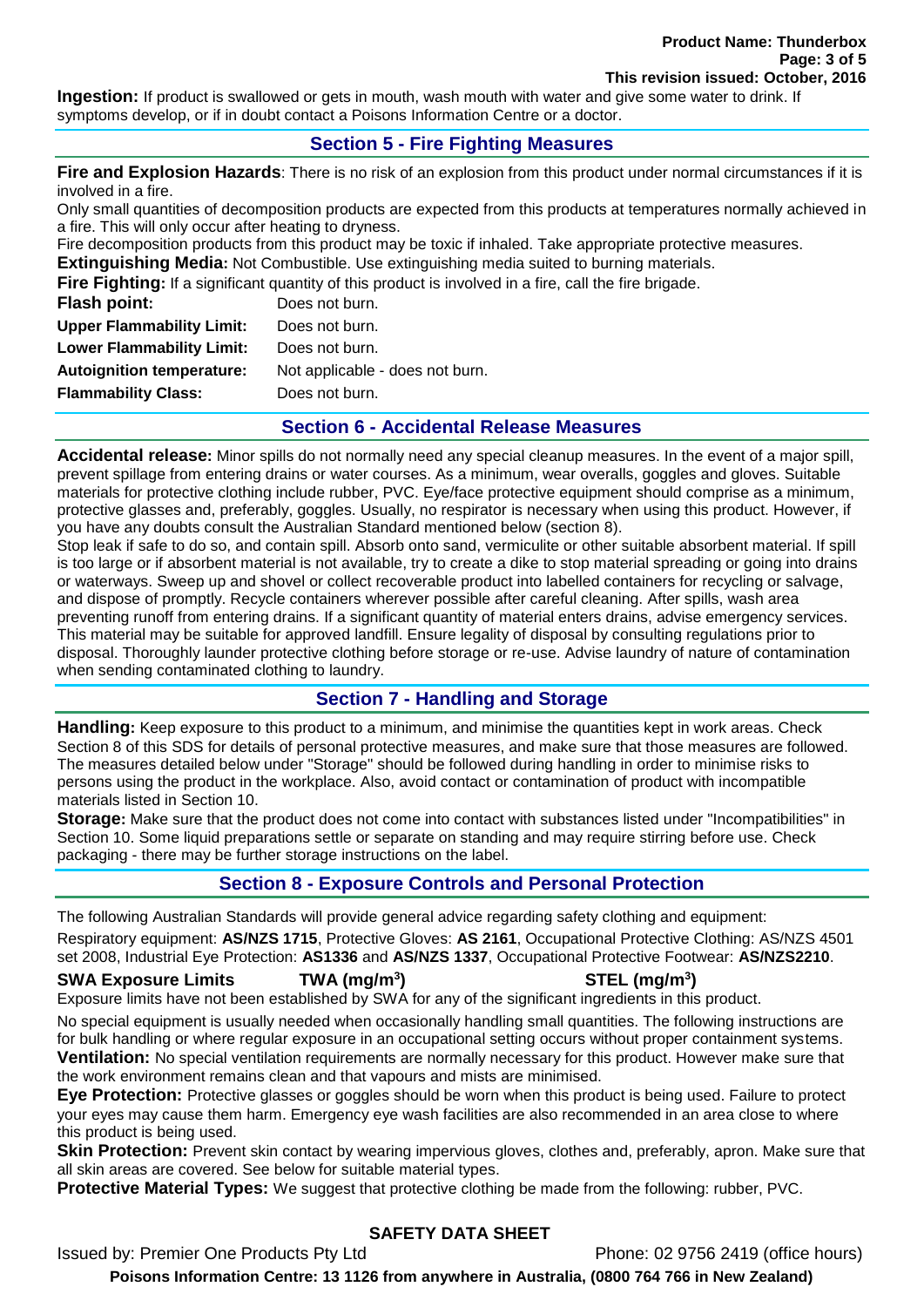**Ingestion:** If product is swallowed or gets in mouth, wash mouth with water and give some water to drink. If symptoms develop, or if in doubt contact a Poisons Information Centre or a doctor.

#### **Section 5 - Fire Fighting Measures**

**Fire and Explosion Hazards**: There is no risk of an explosion from this product under normal circumstances if it is involved in a fire.

Only small quantities of decomposition products are expected from this products at temperatures normally achieved in a fire. This will only occur after heating to dryness.

Fire decomposition products from this product may be toxic if inhaled. Take appropriate protective measures. **Extinguishing Media:** Not Combustible. Use extinguishing media suited to burning materials.

**Fire Fighting:** If a significant quantity of this product is involved in a fire, call the fire brigade.

| Flash point:                     | Does not burn.                  |
|----------------------------------|---------------------------------|
| <b>Upper Flammability Limit:</b> | Does not burn.                  |
| <b>Lower Flammability Limit:</b> | Does not burn.                  |
| <b>Autoignition temperature:</b> | Not applicable - does not burn. |
| <b>Flammability Class:</b>       | Does not burn.                  |
|                                  |                                 |

#### **Section 6 - Accidental Release Measures**

**Accidental release:** Minor spills do not normally need any special cleanup measures. In the event of a major spill, prevent spillage from entering drains or water courses. As a minimum, wear overalls, goggles and gloves. Suitable materials for protective clothing include rubber, PVC. Eye/face protective equipment should comprise as a minimum, protective glasses and, preferably, goggles. Usually, no respirator is necessary when using this product. However, if you have any doubts consult the Australian Standard mentioned below (section 8).

Stop leak if safe to do so, and contain spill. Absorb onto sand, vermiculite or other suitable absorbent material. If spill is too large or if absorbent material is not available, try to create a dike to stop material spreading or going into drains or waterways. Sweep up and shovel or collect recoverable product into labelled containers for recycling or salvage, and dispose of promptly. Recycle containers wherever possible after careful cleaning. After spills, wash area preventing runoff from entering drains. If a significant quantity of material enters drains, advise emergency services. This material may be suitable for approved landfill. Ensure legality of disposal by consulting regulations prior to disposal. Thoroughly launder protective clothing before storage or re-use. Advise laundry of nature of contamination when sending contaminated clothing to laundry.

## **Section 7 - Handling and Storage**

**Handling:** Keep exposure to this product to a minimum, and minimise the quantities kept in work areas. Check Section 8 of this SDS for details of personal protective measures, and make sure that those measures are followed. The measures detailed below under "Storage" should be followed during handling in order to minimise risks to persons using the product in the workplace. Also, avoid contact or contamination of product with incompatible materials listed in Section 10.

**Storage:** Make sure that the product does not come into contact with substances listed under "Incompatibilities" in Section 10. Some liquid preparations settle or separate on standing and may require stirring before use. Check packaging - there may be further storage instructions on the label.

## **Section 8 - Exposure Controls and Personal Protection**

The following Australian Standards will provide general advice regarding safety clothing and equipment:

Respiratory equipment: **AS/NZS 1715**, Protective Gloves: **AS 2161**, Occupational Protective Clothing: AS/NZS 4501 set 2008, Industrial Eye Protection: **AS1336** and **AS/NZS 1337**, Occupational Protective Footwear: **AS/NZS2210**.

#### **SWA Exposure Limits TWA (mg/m<sup>3</sup>**

## **) STEL (mg/m<sup>3</sup> )**

Exposure limits have not been established by SWA for any of the significant ingredients in this product.

No special equipment is usually needed when occasionally handling small quantities. The following instructions are for bulk handling or where regular exposure in an occupational setting occurs without proper containment systems. **Ventilation:** No special ventilation requirements are normally necessary for this product. However make sure that the work environment remains clean and that vapours and mists are minimised.

**Eye Protection:** Protective glasses or goggles should be worn when this product is being used. Failure to protect your eyes may cause them harm. Emergency eye wash facilities are also recommended in an area close to where this product is being used.

**Skin Protection:** Prevent skin contact by wearing impervious gloves, clothes and, preferably, apron. Make sure that all skin areas are covered. See below for suitable material types.

**Protective Material Types:** We suggest that protective clothing be made from the following: rubber, PVC.

## **SAFETY DATA SHEET**

Issued by: Premier One Products Pty Ltd Phone: 02 9756 2419 (office hours)

**Poisons Information Centre: 13 1126 from anywhere in Australia, (0800 764 766 in New Zealand)**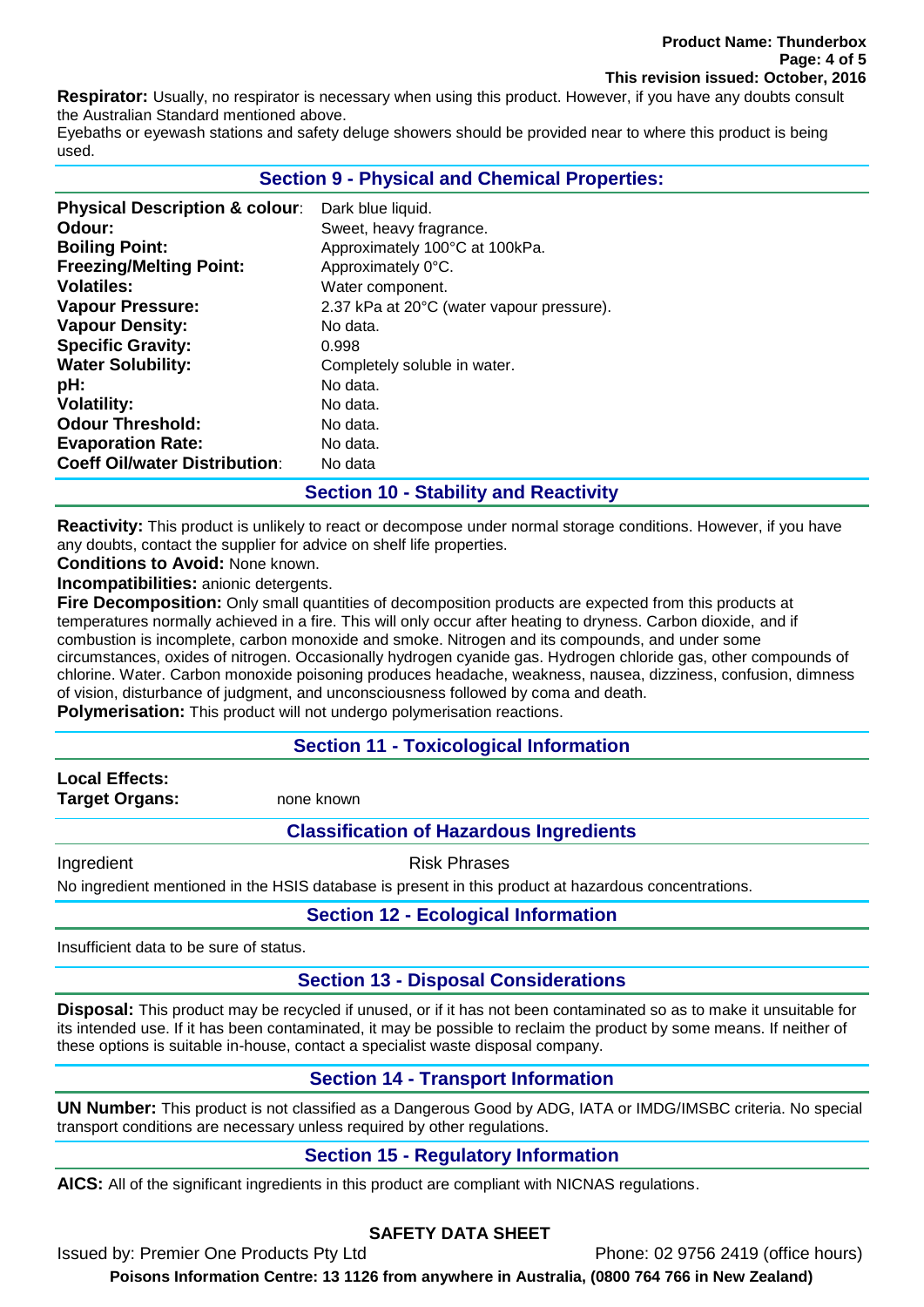**Respirator:** Usually, no respirator is necessary when using this product. However, if you have any doubts consult the Australian Standard mentioned above.

Eyebaths or eyewash stations and safety deluge showers should be provided near to where this product is being used.

## **Section 9 - Physical and Chemical Properties:**

| <b>Physical Description &amp; colour:</b> | Dark blue liquid.                         |
|-------------------------------------------|-------------------------------------------|
| Odour:                                    | Sweet, heavy fragrance.                   |
| <b>Boiling Point:</b>                     | Approximately 100°C at 100kPa.            |
| <b>Freezing/Melting Point:</b>            | Approximately 0°C.                        |
| <b>Volatiles:</b>                         | Water component.                          |
| <b>Vapour Pressure:</b>                   | 2.37 kPa at 20°C (water vapour pressure). |
| <b>Vapour Density:</b>                    | No data.                                  |
| <b>Specific Gravity:</b>                  | 0.998                                     |
| <b>Water Solubility:</b>                  | Completely soluble in water.              |
| pH:                                       | No data.                                  |
| <b>Volatility:</b>                        | No data.                                  |
| <b>Odour Threshold:</b>                   | No data.                                  |
| <b>Evaporation Rate:</b>                  | No data.                                  |
| <b>Coeff Oil/water Distribution:</b>      | No data                                   |

#### **Section 10 - Stability and Reactivity**

**Reactivity:** This product is unlikely to react or decompose under normal storage conditions. However, if you have any doubts, contact the supplier for advice on shelf life properties.

**Conditions to Avoid:** None known.

**Incompatibilities:** anionic detergents.

**Fire Decomposition:** Only small quantities of decomposition products are expected from this products at temperatures normally achieved in a fire. This will only occur after heating to dryness. Carbon dioxide, and if combustion is incomplete, carbon monoxide and smoke. Nitrogen and its compounds, and under some circumstances, oxides of nitrogen. Occasionally hydrogen cyanide gas. Hydrogen chloride gas, other compounds of chlorine. Water. Carbon monoxide poisoning produces headache, weakness, nausea, dizziness, confusion, dimness of vision, disturbance of judgment, and unconsciousness followed by coma and death.

**Polymerisation:** This product will not undergo polymerisation reactions.

#### **Section 11 - Toxicological Information**

**Local Effects: Target Organs:** none known

## **Classification of Hazardous Ingredients**

Ingredient **Risk Phrases** 

No ingredient mentioned in the HSIS database is present in this product at hazardous concentrations.

## **Section 12 - Ecological Information**

Insufficient data to be sure of status.

## **Section 13 - Disposal Considerations**

**Disposal:** This product may be recycled if unused, or if it has not been contaminated so as to make it unsuitable for its intended use. If it has been contaminated, it may be possible to reclaim the product by some means. If neither of these options is suitable in-house, contact a specialist waste disposal company.

## **Section 14 - Transport Information**

**UN Number:** This product is not classified as a Dangerous Good by ADG, IATA or IMDG/IMSBC criteria. No special transport conditions are necessary unless required by other regulations.

## **Section 15 - Regulatory Information**

**AICS:** All of the significant ingredients in this product are compliant with NICNAS regulations.

## **SAFETY DATA SHEET**

Issued by: Premier One Products Pty Ltd Phone: 02 9756 2419 (office hours) **Poisons Information Centre: 13 1126 from anywhere in Australia, (0800 764 766 in New Zealand)**